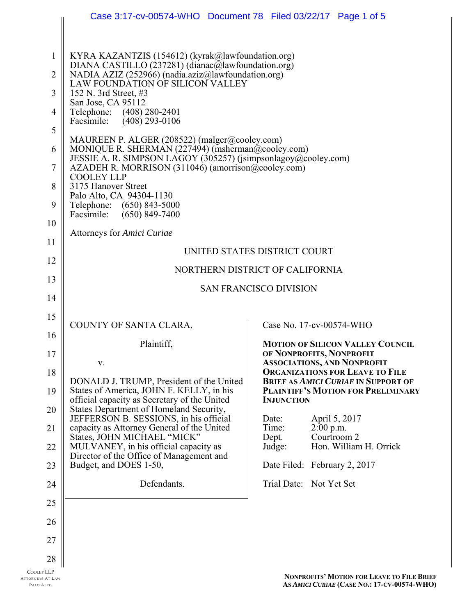|                   | Case 3:17-cv-00574-WHO  Document 78  Filed 03/22/17  Page 1 of 5                                                                     |                                                                                                       |
|-------------------|--------------------------------------------------------------------------------------------------------------------------------------|-------------------------------------------------------------------------------------------------------|
|                   |                                                                                                                                      |                                                                                                       |
| 1                 | KYRA KAZANTZIS (154612) (kyrak@lawfoundation.org)<br>DIANA CASTILLO (237281) (dianac@lawfoundation.org)                              |                                                                                                       |
| 2                 | NADIA AZIZ (252966) (nadia.aziz@lawfoundation.org)<br>LAW FOUNDATION OF SILICON VALLEY                                               |                                                                                                       |
| 3                 | 152 N. 3rd Street, #3                                                                                                                |                                                                                                       |
| 4                 | San Jose, CA 95112<br>Telephone: (408) 280-2401                                                                                      |                                                                                                       |
| 5                 | Facsimile: (408) 293-0106                                                                                                            |                                                                                                       |
| 6                 | MAUREEN P. ALGER (208522) (malger@cooley.com)<br>MONIQUE R. SHERMAN (227494) (msherman@cooley.com)                                   |                                                                                                       |
| 7                 | JESSIE A. R. SIMPSON LAGOY (305257) (jsimpsonlagoy@cooley.com)<br>AZADEH R. MORRISON (311046) (amorrison@cooley.com)                 |                                                                                                       |
| 8                 | <b>COOLEY LLP</b><br>3175 Hanover Street                                                                                             |                                                                                                       |
| 9                 | Palo Alto, CA 94304-1130<br>Telephone: (650) 843-5000<br>Facsimile:<br>$(650)$ 849-7400                                              |                                                                                                       |
| 10                | Attorneys for Amici Curiae                                                                                                           |                                                                                                       |
| 11                |                                                                                                                                      | UNITED STATES DISTRICT COURT                                                                          |
| 12                |                                                                                                                                      | NORTHERN DISTRICT OF CALIFORNIA                                                                       |
| 13                | <b>SAN FRANCISCO DIVISION</b>                                                                                                        |                                                                                                       |
| 14                |                                                                                                                                      |                                                                                                       |
| 15                |                                                                                                                                      |                                                                                                       |
| 16                | COUNTY OF SANTA CLARA,                                                                                                               | Case No. 17-cv-00574-WHO                                                                              |
| 17                | Plaintiff,                                                                                                                           | <b>MOTION OF SILICON VALLEY COUNCIL</b><br>OF NONPROFITS, NONPROFIT                                   |
| 18                | V.                                                                                                                                   | <b>ASSOCIATIONS, AND NONPROFIT</b><br><b>ORGANIZATIONS FOR LEAVE TO FILE</b>                          |
| 19                | DONALD J. TRUMP, President of the United<br>States of America, JOHN F. KELLY, in his<br>official capacity as Secretary of the United | <b>BRIEF AS AMICI CURIAE IN SUPPORT OF</b><br>PLAINTIFF'S MOTION FOR PRELIMINARY<br><b>INJUNCTION</b> |
| 20                | States Department of Homeland Security,<br>JEFFERSON B. SESSIONS, in his official                                                    | Date:                                                                                                 |
| 21                | capacity as Attorney General of the United                                                                                           | April 5, 2017<br>Time:<br>$2:00$ p.m.                                                                 |
| 22                | States, JOHN MICHAEL "MICK"<br>MULVANEY, in his official capacity as                                                                 | Courtroom 2<br>Dept.<br>Hon. William H. Orrick<br>Judge:                                              |
| 23                | Director of the Office of Management and<br>Budget, and DOES 1-50,                                                                   | Date Filed: February 2, 2017                                                                          |
| 24                | Defendants.                                                                                                                          | Trial Date: Not Yet Set                                                                               |
| 25                |                                                                                                                                      |                                                                                                       |
| 26                |                                                                                                                                      |                                                                                                       |
| 27                |                                                                                                                                      |                                                                                                       |
| 28                |                                                                                                                                      |                                                                                                       |
| <b>COOLEY LLP</b> |                                                                                                                                      | <b>NONPROFITS' MOTION FOR LEAVE TO FILE RE</b>                                                        |

ATTORNEYS AT LAW PALO ALTO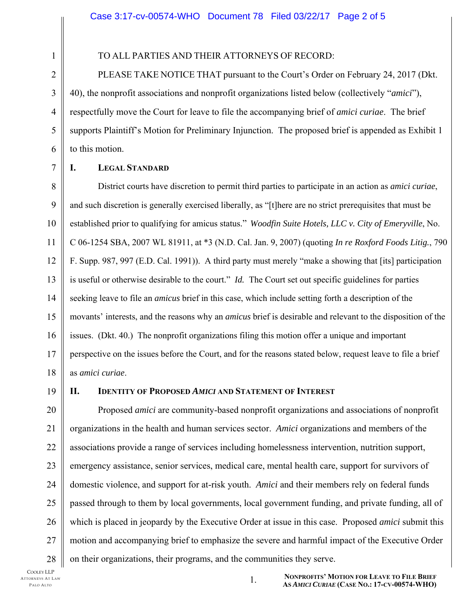TO ALL PARTIES AND THEIR ATTORNEYS OF RECORD:

PLEASE TAKE NOTICE THAT pursuant to the Court's Order on February 24, 2017 (Dkt. 40), the nonprofit associations and nonprofit organizations listed below (collectively "*amici*"), respectfully move the Court for leave to file the accompanying brief of *amici curiae*. The brief supports Plaintiff's Motion for Preliminary Injunction. The proposed brief is appended as Exhibit 1 to this motion.

1

2

3

4

5

### **I. LEGAL STANDARD**

District courts have discretion to permit third parties to participate in an action as *amici curiae*, and such discretion is generally exercised liberally, as "[t]here are no strict prerequisites that must be established prior to qualifying for amicus status." *Woodfin Suite Hotels, LLC v. City of Emeryville*, No. C 06-1254 SBA, 2007 WL 81911, at \*3 (N.D. Cal. Jan. 9, 2007) (quoting *In re Roxford Foods Litig.*, 790 F. Supp. 987, 997 (E.D. Cal. 1991)). A third party must merely "make a showing that [its] participation is useful or otherwise desirable to the court." *Id.* The Court set out specific guidelines for parties seeking leave to file an *amicus* brief in this case, which include setting forth a description of the movants' interests, and the reasons why an *amicus* brief is desirable and relevant to the disposition of the issues. (Dkt. 40.) The nonprofit organizations filing this motion offer a unique and important perspective on the issues before the Court, and for the reasons stated below, request leave to file a brief as *amici curiae*.

19

18

21

## **II. IDENTITY OF PROPOSED** *AMICI* **AND STATEMENT OF INTEREST**

20 22 23 24 25 26 27 28 Proposed *amici* are community-based nonprofit organizations and associations of nonprofit organizations in the health and human services sector. *Amici* organizations and members of the associations provide a range of services including homelessness intervention, nutrition support, emergency assistance, senior services, medical care, mental health care, support for survivors of domestic violence, and support for at-risk youth. *Amici* and their members rely on federal funds passed through to them by local governments, local government funding, and private funding, all of which is placed in jeopardy by the Executive Order at issue in this case. Proposed *amici* submit this motion and accompanying brief to emphasize the severe and harmful impact of the Executive Order on their organizations, their programs, and the communities they serve.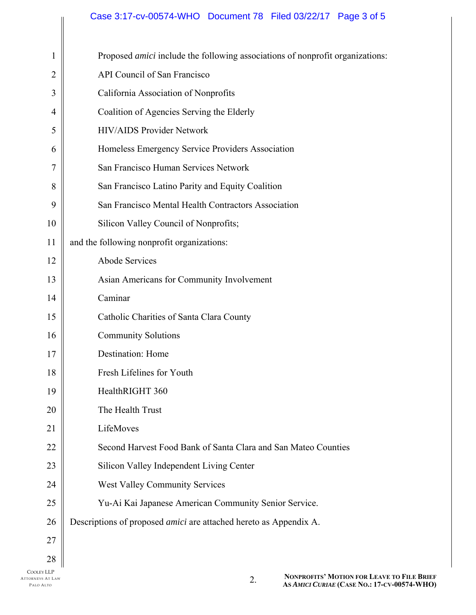# Case 3:17-cv-00574-WHO Document 78 Filed 03/22/17 Page 3 of 5

| $\mathbf{1}$   | Proposed amici include the following associations of nonprofit organizations: |
|----------------|-------------------------------------------------------------------------------|
| $\overline{2}$ | API Council of San Francisco                                                  |
| 3              | California Association of Nonprofits                                          |
| 4              | Coalition of Agencies Serving the Elderly                                     |
| 5              | <b>HIV/AIDS Provider Network</b>                                              |
| 6              | Homeless Emergency Service Providers Association                              |
| $\overline{7}$ | San Francisco Human Services Network                                          |
| 8              | San Francisco Latino Parity and Equity Coalition                              |
| 9              | San Francisco Mental Health Contractors Association                           |
| 10             | Silicon Valley Council of Nonprofits;                                         |
| 11             | and the following nonprofit organizations:                                    |
| 12             | <b>Abode Services</b>                                                         |
| 13             | Asian Americans for Community Involvement                                     |
| 14             | Caminar                                                                       |
| 15             | Catholic Charities of Santa Clara County                                      |
| 16             | <b>Community Solutions</b>                                                    |
| 17             | <b>Destination: Home</b>                                                      |
| 18             | Fresh Lifelines for Youth                                                     |
| 19             | HealthRIGHT 360                                                               |
| 20             | The Health Trust                                                              |
| 21             | LifeMoves                                                                     |
| 22             | Second Harvest Food Bank of Santa Clara and San Mateo Counties                |
| 23             | Silicon Valley Independent Living Center                                      |
| 24             | <b>West Valley Community Services</b>                                         |
| 25             | Yu-Ai Kai Japanese American Community Senior Service.                         |
| 26             | Descriptions of proposed amici are attached hereto as Appendix A.             |
| 27             |                                                                               |
| 28             |                                                                               |

║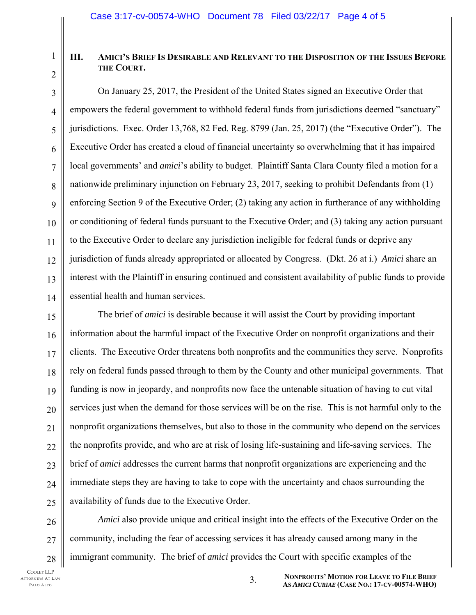# **III. AMICI'S BRIEF IS DESIRABLE AND RELEVANT TO THE DISPOSITION OF THE ISSUES BEFORE THE COURT.**

On January 25, 2017, the President of the United States signed an Executive Order that empowers the federal government to withhold federal funds from jurisdictions deemed "sanctuary" jurisdictions. Exec. Order 13,768, 82 Fed. Reg. 8799 (Jan. 25, 2017) (the "Executive Order"). The Executive Order has created a cloud of financial uncertainty so overwhelming that it has impaired local governments' and *amici*'s ability to budget. Plaintiff Santa Clara County filed a motion for a nationwide preliminary injunction on February 23, 2017, seeking to prohibit Defendants from (1) enforcing Section 9 of the Executive Order; (2) taking any action in furtherance of any withholding or conditioning of federal funds pursuant to the Executive Order; and (3) taking any action pursuant to the Executive Order to declare any jurisdiction ineligible for federal funds or deprive any jurisdiction of funds already appropriated or allocated by Congress. (Dkt. 26 at i.) *Amici* share an interest with the Plaintiff in ensuring continued and consistent availability of public funds to provide essential health and human services.

The brief of *amici* is desirable because it will assist the Court by providing important information about the harmful impact of the Executive Order on nonprofit organizations and their clients. The Executive Order threatens both nonprofits and the communities they serve. Nonprofits rely on federal funds passed through to them by the County and other municipal governments. That funding is now in jeopardy, and nonprofits now face the untenable situation of having to cut vital services just when the demand for those services will be on the rise. This is not harmful only to the nonprofit organizations themselves, but also to those in the community who depend on the services the nonprofits provide, and who are at risk of losing life-sustaining and life-saving services. The brief of *amici* addresses the current harms that nonprofit organizations are experiencing and the immediate steps they are having to take to cope with the uncertainty and chaos surrounding the availability of funds due to the Executive Order.

26 27 28 *Amici* also provide unique and critical insight into the effects of the Executive Order on the community, including the fear of accessing services it has already caused among many in the immigrant community. The brief of *amici* provides the Court with specific examples of the

1

2

3

4

5

6

7

8

9

10

11

12

13

14

15

16

17

18

19

20

21

 $22$ 

23

24

 $25$ 

3. **NONPROFITS' MOTION FOR LEAVE TO FILE BRIEF AS** *AMICI CURIAE* **(CASE NO.: 17-CV-00574-WHO)**